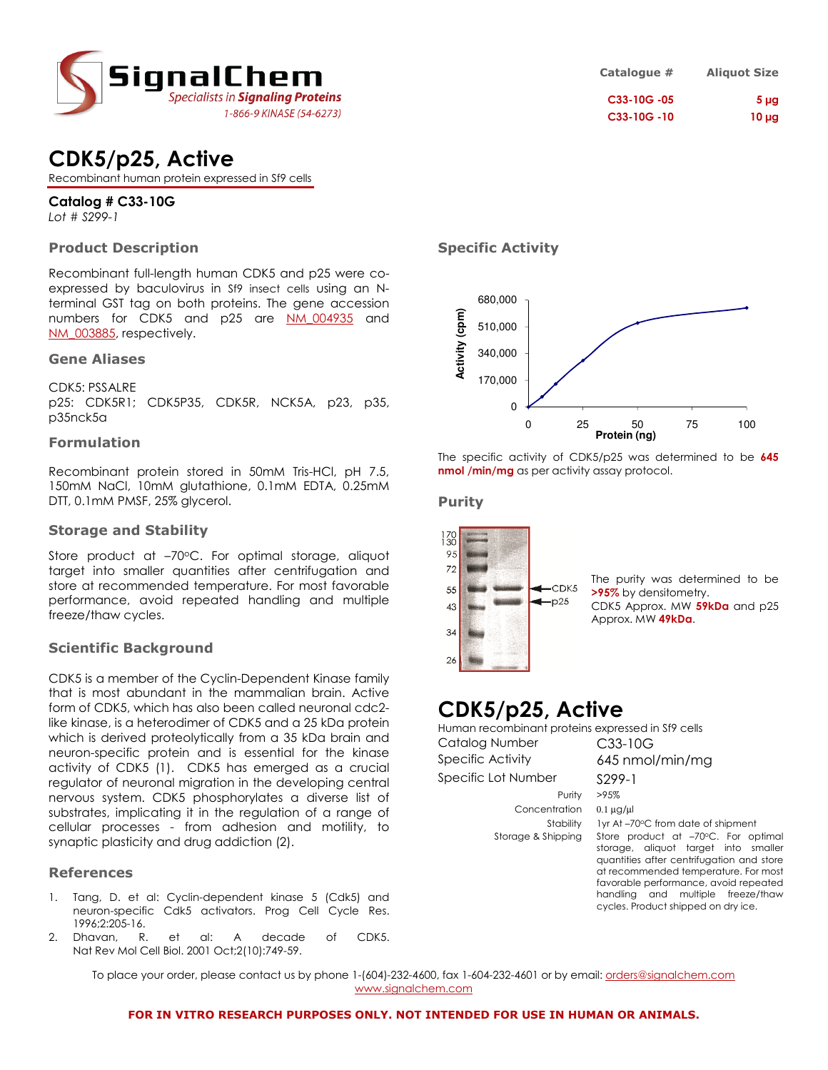

### Catalogue # Aliquot Size  $C33-10G -05$  5 µg C33-10G -10 10 µg

## CDK5/p25, Active

Recombinant human protein expressed in Sf9 cells

Catalog # C33-10G Lot # S299-1

### Product Description

Recombinant full-length human CDK5 and p25 were coexpressed by baculovirus in Sf9 insect cells using an Nterminal GST tag on both proteins. The gene accession numbers for CDK5 and p25 are NM\_004935 and NM\_003885, respectively.

#### Gene Aliases

CDK5: PSSALRE p25: CDK5R1; CDK5P35, CDK5R, NCK5A, p23, p35, p35nck5a

### Formulation

Recombinant protein stored in 50mM Tris-HCl, pH 7.5, 150mM NaCl, 10mM glutathione, 0.1mM EDTA, 0.25mM DTT, 0.1mM PMSF, 25% glycerol.

### Storage and Stability

Store product at -70°C. For optimal storage, aliquot target into smaller quantities after centrifugation and store at recommended temperature. For most favorable performance, avoid repeated handling and multiple freeze/thaw cycles.

### Scientific Background

CDK5 is a member of the Cyclin-Dependent Kinase family that is most abundant in the mammalian brain. Active form of CDK5, which has also been called neuronal cdc2 like kinase, is a heterodimer of CDK5 and a 25 kDa protein which is derived proteolytically from a 35 kDa brain and neuron-specific protein and is essential for the kinase activity of CDK5 (1). CDK5 has emerged as a crucial regulator of neuronal migration in the developing central nervous system. CDK5 phosphorylates a diverse list of substrates, implicating it in the regulation of a range of cellular processes - from adhesion and motility, to synaptic plasticity and drug addiction (2).

### References

- 1. Tang, D. et al: Cyclin-dependent kinase 5 (Cdk5) and neuron-specific Cdk5 activators. Prog Cell Cycle Res. 1996;2:205-16.
- 2. Dhavan, R. et al: A decade of CDK5. Nat Rev Mol Cell Biol. 2001 Oct;2(10):749-59.

### Specific Activity



The specific activity of CDK5/p25 was determined to be 645 nmol /min/mg as per activity assay protocol.

### Purity



The purity was determined to be >95% by densitometry. CDK5 Approx. MW 59kDa and p25 Approx. MW 49kDa.

### CDK5/p25, Active

| Human recombinant proteins expressed in Sf9 cells |                            |
|---------------------------------------------------|----------------------------|
| Catalog Number                                    | $C33-10G$                  |
| Specific Activity                                 | 645 nmol/min/mg            |
| Specific Lot Number                               | $S299-1$                   |
| Purity                                            | >95%                       |
| Concentration                                     | $0.1 \mu g/\mu$            |
| Stability                                         | 1yr At-70°C from date of : |
| Storage & Shipping                                | Store product at -70°C     |
|                                                   | storage aliguot target     |

f shipment  $PC.$  For optimal target into smaller quantities after centrifugation and store at recommended temperature. For most favorable performance, avoid repeated handling and multiple freeze/thaw cycles. Product shipped on dry ice.

To place your order, please contact us by phone 1-(604)-232-4600, fax 1-604-232-4601 or by email: *orders@signalchem.com* www.signalchem.com